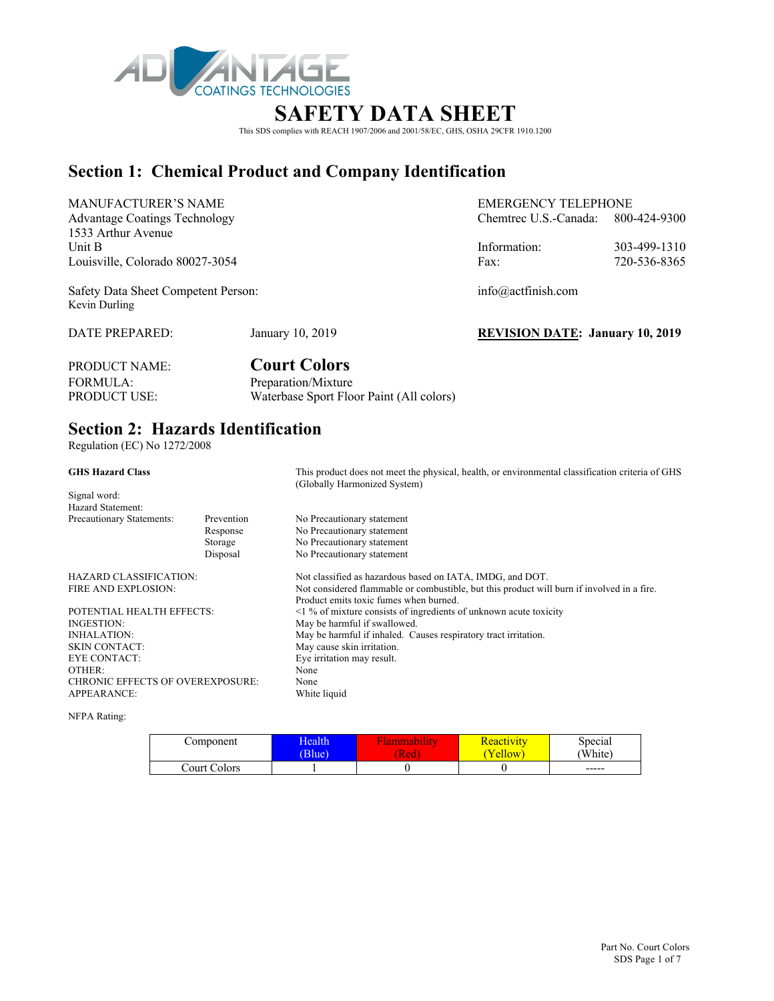

# **SAFETY DATA SHEET**

This SDS complies with REACH 1907/2006 and 2001/58/EC, GHS, OSHA 29CFR 1910.1200

## **Section 1: Chemical Product and Company Identification**

| <b>MANUFACTURER'S NAME</b>                           |                  | <b>EMERGENCY TELEPHONE</b>             |              |  |
|------------------------------------------------------|------------------|----------------------------------------|--------------|--|
| <b>Advantage Coatings Technology</b>                 |                  | Chemtrec U.S.-Canada: $800-424-9300$   |              |  |
| 1533 Arthur Avenue                                   |                  |                                        |              |  |
| Unit B                                               |                  | Information:                           | 303-499-1310 |  |
| Louisville, Colorado 80027-3054                      |                  | Fax:                                   | 720-536-8365 |  |
| Safety Data Sheet Competent Person:<br>Kevin Durling |                  | info@actfinish.com                     |              |  |
| DATE PREPARED:                                       | January 10, 2019 | <b>REVISION DATE: January 10, 2019</b> |              |  |

PRODUCT NAME: **Court Colors**  FORMULA: Preparation/Mixture<br>PRODUCT USE: Waterbase Sport Flo Waterbase Sport Floor Paint (All colors)

# **Section 2: Hazards Identification**

Regulation (EC) No 1272/2008

| <b>GHS Hazard Class</b>                 |            | This product does not meet the physical, health, or environmental classification criteria of GHS<br>(Globally Harmonized System) |
|-----------------------------------------|------------|----------------------------------------------------------------------------------------------------------------------------------|
| Signal word:                            |            |                                                                                                                                  |
| Hazard Statement:                       |            |                                                                                                                                  |
| Precautionary Statements:               | Prevention | No Precautionary statement                                                                                                       |
|                                         | Response   | No Precautionary statement                                                                                                       |
|                                         | Storage    | No Precautionary statement                                                                                                       |
|                                         | Disposal   | No Precautionary statement                                                                                                       |
| HAZARD CLASSIFICATION:                  |            | Not classified as hazardous based on IATA, IMDG, and DOT.                                                                        |
| FIRE AND EXPLOSION:                     |            | Not considered flammable or combustible, but this product will burn if involved in a fire.                                       |
|                                         |            | Product emits toxic fumes when burned.                                                                                           |
| POTENTIAL HEALTH EFFECTS:               |            | $\leq$ 1 % of mixture consists of ingredients of unknown acute toxicity                                                          |
| INGESTION:                              |            | May be harmful if swallowed.                                                                                                     |
| INHALATION:                             |            | May be harmful if inhaled. Causes respiratory tract irritation.                                                                  |
| SKIN CONTACT:                           |            | May cause skin irritation.                                                                                                       |
| EYE CONTACT:                            |            | Eye irritation may result.                                                                                                       |
| OTHER:                                  |            | None                                                                                                                             |
| <b>CHRONIC EFFECTS OF OVEREXPOSURE:</b> |            | None                                                                                                                             |
| APPEARANCE:                             |            | White liquid                                                                                                                     |

NFPA Rating:

| Component    | Health      | <b>Barbara</b> | <b>Reactivity</b> | Special      |
|--------------|-------------|----------------|-------------------|--------------|
|              | <b>Blue</b> | (Red           | Yellow            | <b>White</b> |
| Court Colors |             |                |                   | $- - - - -$  |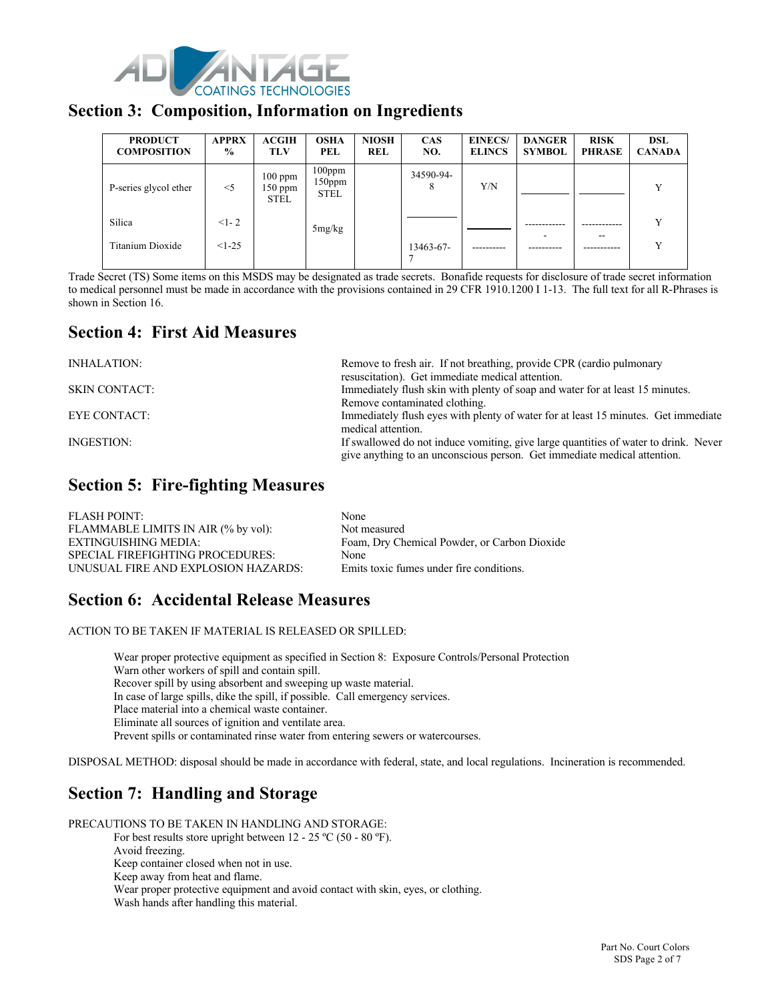

#### **Section 3: Composition, Information on Ingredients**

| <b>PRODUCT</b><br><b>COMPOSITION</b> | <b>APPRX</b><br>$\frac{0}{0}$ | ACGIH<br><b>TLV</b>                   | <b>OSHA</b><br>PEL                 | <b>NIOSH</b><br><b>REL</b> | <b>CAS</b><br>NO. | <b>EINECS/</b><br><b>ELINCS</b> | <b>DANGER</b><br><b>SYMBOL</b> | <b>RISK</b><br><b>PHRASE</b> | <b>DSL</b><br><b>CANADA</b> |
|--------------------------------------|-------------------------------|---------------------------------------|------------------------------------|----------------------------|-------------------|---------------------------------|--------------------------------|------------------------------|-----------------------------|
| P-series glycol ether                | $<$ 5                         | $100$ ppm<br>$150$ ppm<br><b>STEL</b> | $100$ ppm<br>150ppm<br><b>STEL</b> |                            | 34590-94-<br>8    | Y/N                             |                                |                              |                             |
| Silica                               | $<1-2$                        |                                       | 5mg/kg                             |                            |                   |                                 |                                |                              |                             |
| Titanium Dioxide                     | $<1-25$                       |                                       |                                    |                            | 13463-67-         |                                 |                                |                              |                             |

Trade Secret (TS) Some items on this MSDS may be designated as trade secrets. Bonafide requests for disclosure of trade secret information to medical personnel must be made in accordance with the provisions contained in 29 CFR 1910.1200 I 1-13. The full text for all R-Phrases is shown in Section 16.

### **Section 4: First Aid Measures**

| INHALATION:          | Remove to fresh air. If not breathing, provide CPR (cardio pulmonary                |
|----------------------|-------------------------------------------------------------------------------------|
|                      | resuscitation). Get immediate medical attention.                                    |
| <b>SKIN CONTACT:</b> | Immediately flush skin with plenty of soap and water for at least 15 minutes.       |
|                      | Remove contaminated clothing.                                                       |
| EYE CONTACT:         | Immediately flush eyes with plenty of water for at least 15 minutes. Get immediate  |
|                      | medical attention.                                                                  |
| INGESTION:           | If swallowed do not induce vomiting, give large quantities of water to drink. Never |
|                      | give anything to an unconscious person. Get immediate medical attention.            |
|                      |                                                                                     |

### **Section 5: Fire-fighting Measures**

| FLASH POINT:                        | None                                         |
|-------------------------------------|----------------------------------------------|
| FLAMMABLE LIMITS IN AIR (% by vol): | Not measured                                 |
| EXTINGUISHING MEDIA:                | Foam, Dry Chemical Powder, or Carbon Dioxide |
| SPECIAL FIREFIGHTING PROCEDURES:    | None                                         |
| UNUSUAL FIRE AND EXPLOSION HAZARDS: | Emits toxic fumes under fire conditions.     |

### **Section 6: Accidental Release Measures**

ACTION TO BE TAKEN IF MATERIAL IS RELEASED OR SPILLED:

Wear proper protective equipment as specified in Section 8: Exposure Controls/Personal Protection Warn other workers of spill and contain spill. Recover spill by using absorbent and sweeping up waste material. In case of large spills, dike the spill, if possible. Call emergency services. Place material into a chemical waste container. Eliminate all sources of ignition and ventilate area. Prevent spills or contaminated rinse water from entering sewers or watercourses.

DISPOSAL METHOD: disposal should be made in accordance with federal, state, and local regulations. Incineration is recommended.

# **Section 7: Handling and Storage**

PRECAUTIONS TO BE TAKEN IN HANDLING AND STORAGE:

For best results store upright between 12 - 25 °C (50 - 80 °F). Avoid freezing. Keep container closed when not in use.

Keep away from heat and flame.

Wear proper protective equipment and avoid contact with skin, eyes, or clothing.

Wash hands after handling this material.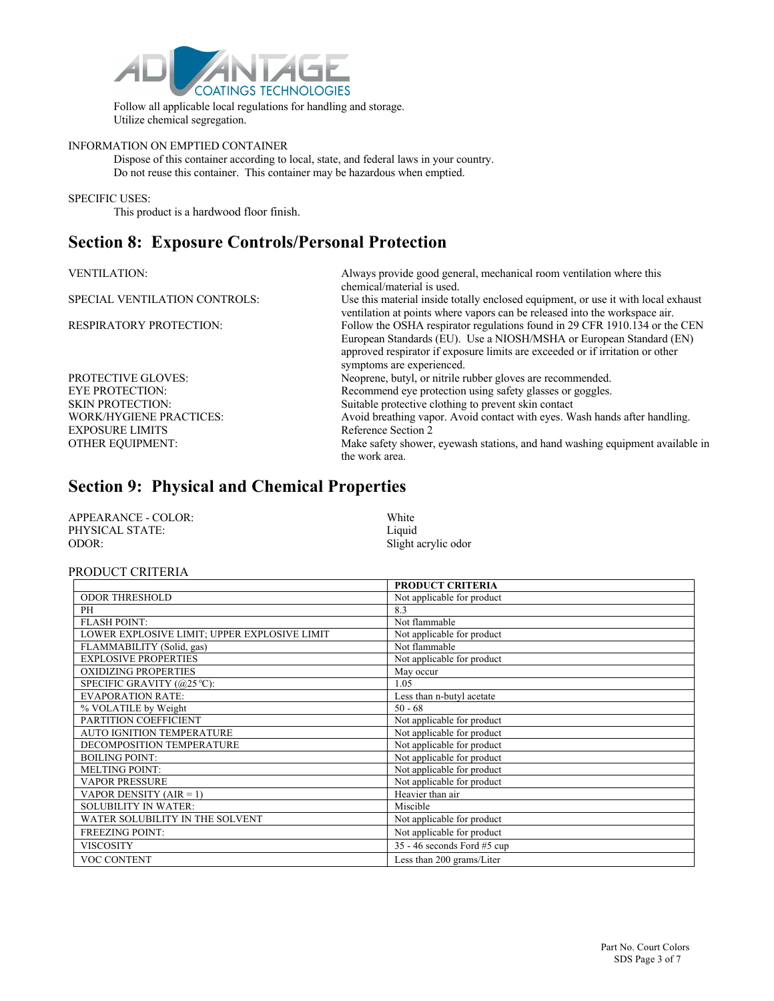

Follow all applicable local regulations for handling and storage. Utilize chemical segregation.

#### INFORMATION ON EMPTIED CONTAINER

Dispose of this container according to local, state, and federal laws in your country. Do not reuse this container. This container may be hazardous when emptied.

#### SPECIFIC USES:

This product is a hardwood floor finish.

### **Section 8: Exposure Controls/Personal Protection**

| <b>VENTILATION:</b>            | Always provide good general, mechanical room ventilation where this<br>chemical/material is used.                                                                                                                                                               |
|--------------------------------|-----------------------------------------------------------------------------------------------------------------------------------------------------------------------------------------------------------------------------------------------------------------|
| SPECIAL VENTILATION CONTROLS:  | Use this material inside totally enclosed equipment, or use it with local exhaust<br>ventilation at points where vapors can be released into the workspace air.                                                                                                 |
| <b>RESPIRATORY PROTECTION:</b> | Follow the OSHA respirator regulations found in 29 CFR 1910.134 or the CEN<br>European Standards (EU). Use a NIOSH/MSHA or European Standard (EN)<br>approved respirator if exposure limits are exceeded or if irritation or other<br>symptoms are experienced. |
| <b>PROTECTIVE GLOVES:</b>      | Neoprene, butyl, or nitrile rubber gloves are recommended.                                                                                                                                                                                                      |
| <b>EYE PROTECTION:</b>         | Recommend eye protection using safety glasses or goggles.                                                                                                                                                                                                       |
| <b>SKIN PROTECTION:</b>        | Suitable protective clothing to prevent skin contact                                                                                                                                                                                                            |
| <b>WORK/HYGIENE PRACTICES:</b> | Avoid breathing vapor. Avoid contact with eyes. Wash hands after handling.                                                                                                                                                                                      |
| <b>EXPOSURE LIMITS</b>         | Reference Section 2                                                                                                                                                                                                                                             |
| <b>OTHER EQUIPMENT:</b>        | Make safety shower, eyewash stations, and hand washing equipment available in<br>the work area.                                                                                                                                                                 |

#### **Section 9: Physical and Chemical Properties**

| APPEARANCE - COLOR: | White               |
|---------------------|---------------------|
| PHYSICAL STATE:     | Liquid              |
| ODOR:               | Slight acrylic odor |

#### PRODUCT CRITERIA

|                                              | <b>PRODUCT CRITERIA</b>       |
|----------------------------------------------|-------------------------------|
| <b>ODOR THRESHOLD</b>                        | Not applicable for product    |
| PH                                           | 8.3                           |
| <b>FLASH POINT:</b>                          | Not flammable                 |
| LOWER EXPLOSIVE LIMIT; UPPER EXPLOSIVE LIMIT | Not applicable for product    |
| FLAMMABILITY (Solid, gas)                    | Not flammable                 |
| <b>EXPLOSIVE PROPERTIES</b>                  | Not applicable for product    |
| <b>OXIDIZING PROPERTIES</b>                  | May occur                     |
| SPECIFIC GRAVITY (@25 °C):                   | 1.05                          |
| <b>EVAPORATION RATE:</b>                     | Less than n-butyl acetate     |
| % VOLATILE by Weight                         | $50 - 68$                     |
| PARTITION COEFFICIENT                        | Not applicable for product    |
| AUTO IGNITION TEMPERATURE                    | Not applicable for product    |
| DECOMPOSITION TEMPERATURE                    | Not applicable for product    |
| <b>BOILING POINT:</b>                        | Not applicable for product    |
| <b>MELTING POINT:</b>                        | Not applicable for product    |
| <b>VAPOR PRESSURE</b>                        | Not applicable for product    |
| VAPOR DENSITY $(AIR = 1)$                    | Heavier than air              |
| <b>SOLUBILITY IN WATER:</b>                  | Miscible                      |
| WATER SOLUBILITY IN THE SOLVENT              | Not applicable for product    |
| <b>FREEZING POINT:</b>                       | Not applicable for product    |
| <b>VISCOSITY</b>                             | $35 - 46$ seconds Ford #5 cup |
| VOC CONTENT                                  | Less than 200 grams/Liter     |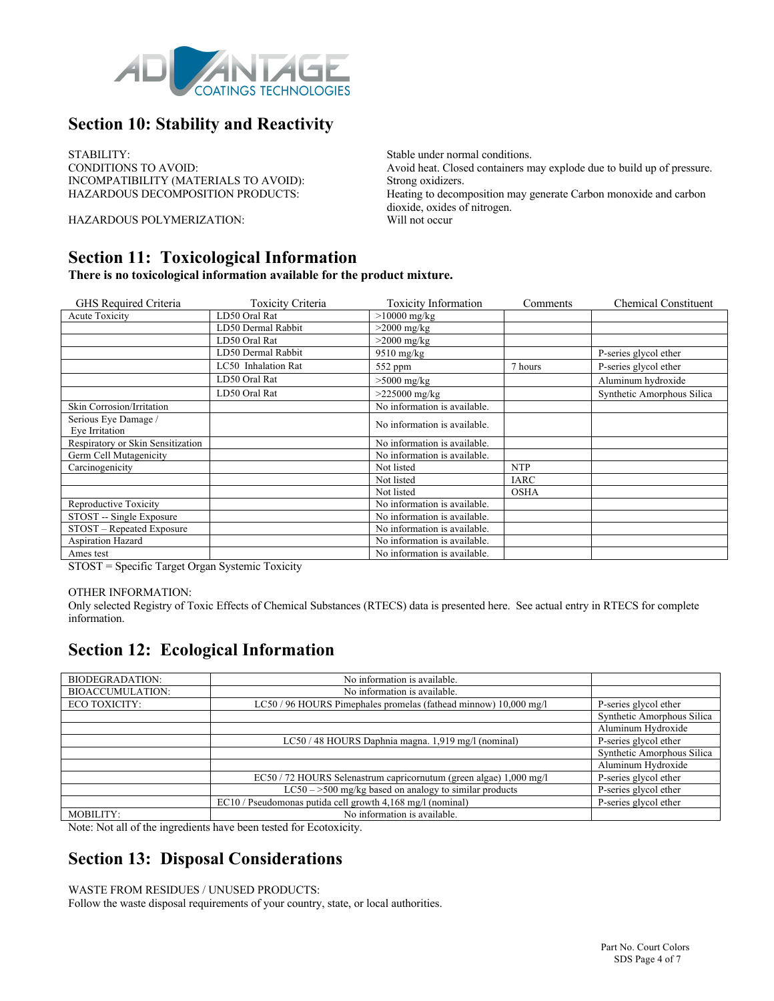

# **Section 10: Stability and Reactivity**

STABILITY:<br>
Stable under normal conditions.<br>
Avoid heat. Closed containers m INCOMPATIBILITY (MATERIALS TO AVOID): Strong oxidizers.<br>
HAZARDOUS DECOMPOSITION PRODUCTS: Heating to decom

HAZARDOUS POLYMERIZATION: Will not occur

**Section 11: Toxicological Information** 

**There is no toxicological information available for the product mixture.**

| GHS Required Criteria             | Toxicity Criteria   | <b>Toxicity Information</b>  | Comments    | <b>Chemical Constituent</b> |
|-----------------------------------|---------------------|------------------------------|-------------|-----------------------------|
| <b>Acute Toxicity</b>             | LD50 Oral Rat       | $>10000$ mg/kg               |             |                             |
|                                   | LD50 Dermal Rabbit  | $>2000$ mg/kg                |             |                             |
|                                   | LD50 Oral Rat       | $>2000$ mg/kg                |             |                             |
|                                   | LD50 Dermal Rabbit  | $9510$ mg/kg                 |             | P-series glycol ether       |
|                                   | LC50 Inhalation Rat | 552 ppm                      | 7 hours     | P-series glycol ether       |
|                                   | LD50 Oral Rat       | $>5000$ mg/kg                |             | Aluminum hydroxide          |
|                                   | LD50 Oral Rat       | $>225000$ mg/kg              |             | Synthetic Amorphous Silica  |
| Skin Corrosion/Irritation         |                     | No information is available. |             |                             |
| Serious Eye Damage /              |                     | No information is available. |             |                             |
| Eye Irritation                    |                     |                              |             |                             |
| Respiratory or Skin Sensitization |                     | No information is available. |             |                             |
| Germ Cell Mutagenicity            |                     | No information is available. |             |                             |
| Carcinogenicity                   |                     | Not listed                   | <b>NTP</b>  |                             |
|                                   |                     | Not listed                   | <b>IARC</b> |                             |
|                                   |                     | Not listed                   | <b>OSHA</b> |                             |
| Reproductive Toxicity             |                     | No information is available. |             |                             |
| STOST -- Single Exposure          |                     | No information is available. |             |                             |
| STOST - Repeated Exposure         |                     | No information is available. |             |                             |
| <b>Aspiration Hazard</b>          |                     | No information is available. |             |                             |
| Ames test                         |                     | No information is available. |             |                             |

STOST = Specific Target Organ Systemic Toxicity

#### OTHER INFORMATION:

Only selected Registry of Toxic Effects of Chemical Substances (RTECS) data is presented here. See actual entry in RTECS for complete information.

### **Section 12: Ecological Information**

| <b>BIODEGRADATION:</b>  | No information is available.                                       |                            |
|-------------------------|--------------------------------------------------------------------|----------------------------|
| <b>BIOACCUMULATION:</b> | No information is available.                                       |                            |
| ECO TOXICITY:           | LC50 / 96 HOURS Pimephales promelas (fathead minnow) 10,000 mg/l   | P-series glycol ether      |
|                         |                                                                    | Synthetic Amorphous Silica |
|                         |                                                                    | Aluminum Hydroxide         |
|                         | LC50 / 48 HOURS Daphnia magna. 1,919 mg/l (nominal)                | P-series glycol ether      |
|                         |                                                                    | Synthetic Amorphous Silica |
|                         |                                                                    | Aluminum Hydroxide         |
|                         | EC50 / 72 HOURS Selenastrum capricornutum (green algae) 1,000 mg/l | P-series glycol ether      |
|                         | $LC50 - >500$ mg/kg based on analogy to similar products           | P-series glycol ether      |
|                         | EC10 / Pseudomonas putida cell growth 4,168 mg/l (nominal)         | P-series glycol ether      |
| MOBILITY:               | No information is available.                                       |                            |

Note: Not all of the ingredients have been tested for Ecotoxicity.

### **Section 13: Disposal Considerations**

WASTE FROM RESIDUES / UNUSED PRODUCTS:

Follow the waste disposal requirements of your country, state, or local authorities.

Avoid heat. Closed containers may explode due to build up of pressure. Heating to decomposition may generate Carbon monoxide and carbon dioxide, oxides of nitrogen.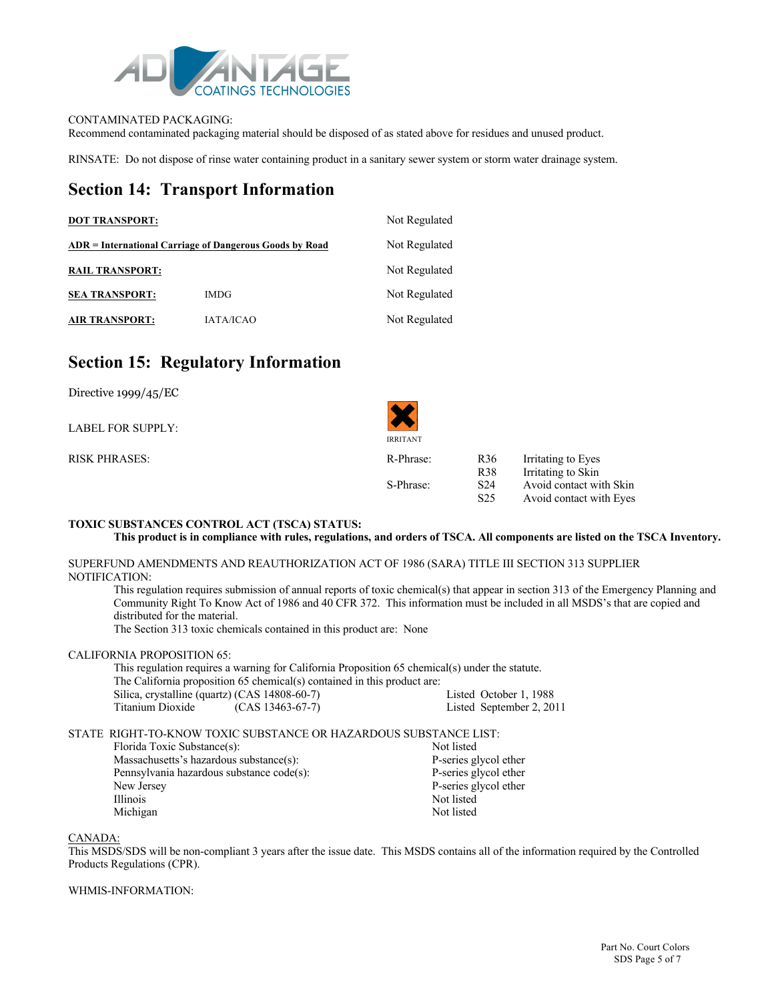

#### CONTAMINATED PACKAGING:

Recommend contaminated packaging material should be disposed of as stated above for residues and unused product.

RINSATE: Do not dispose of rinse water containing product in a sanitary sewer system or storm water drainage system.

### **Section 14: Transport Information**

| <b>DOT TRANSPORT:</b>                                   | Not Regulated    |               |
|---------------------------------------------------------|------------------|---------------|
| ADR = International Carriage of Dangerous Goods by Road | Not Regulated    |               |
| <b>RAIL TRANSPORT:</b>                                  |                  | Not Regulated |
| <b>SEA TRANSPORT:</b>                                   | <b>IMDG</b>      | Not Regulated |
| <b>AIR TRANSPORT:</b>                                   | <b>JATA/ICAO</b> | Not Regulated |

#### **Section 15: Regulatory Information**

| Directive $1999/45/EC$ |                 |                 |                         |
|------------------------|-----------------|-----------------|-------------------------|
| LABEL FOR SUPPLY:      | <b>IRRITANT</b> |                 |                         |
| <b>RISK PHRASES:</b>   | R-Phrase:       | R <sub>36</sub> | Irritating to Eyes      |
|                        |                 | <b>R38</b>      | Irritating to Skin      |
|                        | S-Phrase:       | S <sub>24</sub> | Avoid contact with Skin |
|                        |                 | S <sub>25</sub> | Avoid contact with Eyes |

#### **TOXIC SUBSTANCES CONTROL ACT (TSCA) STATUS:**

#### **This product is in compliance with rules, regulations, and orders of TSCA. All components are listed on the TSCA Inventory.**

#### SUPERFUND AMENDMENTS AND REAUTHORIZATION ACT OF 1986 (SARA) TITLE III SECTION 313 SUPPLIER NOTIFICATION:

This regulation requires submission of annual reports of toxic chemical(s) that appear in section 313 of the Emergency Planning and Community Right To Know Act of 1986 and 40 CFR 372. This information must be included in all MSDS's that are copied and distributed for the material.

The Section 313 toxic chemicals contained in this product are: None

#### CALIFORNIA PROPOSITION 65:

This regulation requires a warning for California Proposition 65 chemical(s) under the statute. The California proposition 65 chemical(s) contained in this product are: Silica, crystalline (quartz) (CAS 14808-60-7) Listed October 1, 1988<br>
Titanium Dioxide (CAS 13463-67-7) Listed September 2, 20 Listed September 2, 2011

#### STATE RIGHT-TO-KNOW TOXIC SUBSTANCE OR HAZARDOUS SUBSTANCE LIST:

Florida Toxic Substance(s):<br>
Massachusetts's hazardous substance(s):<br>
P-series glycol ether Massachusetts's hazardous substance(s):<br>
P-series glycol ether<br>
P-series glycol ether<br>
P-series glycol ether Pennsylvania hazardous substance code(s): New Jersey P-series glycol ether Illinois Not listed<br>
Not listed<br>
Not listed<br>
Not listed Michigan

#### CANADA:

This MSDS/SDS will be non-compliant 3 years after the issue date. This MSDS contains all of the information required by the Controlled Products Regulations (CPR).

#### WHMIS-INFORMATION: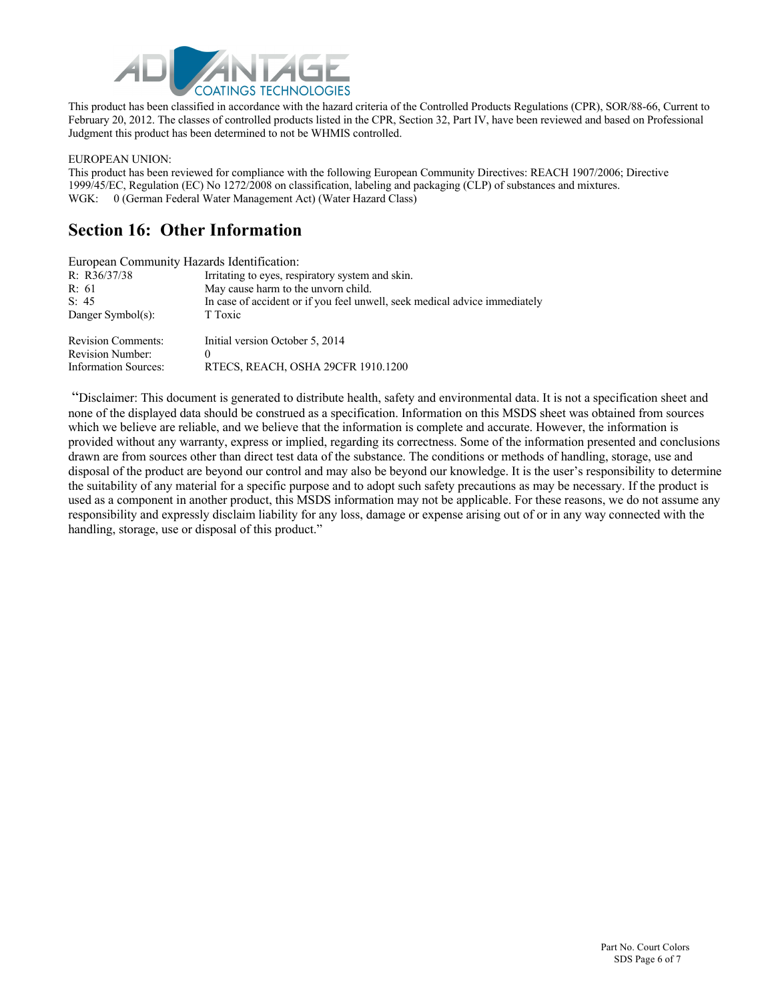

This product has been classified in accordance with the hazard criteria of the Controlled Products Regulations (CPR), SOR/88-66, Current to February 20, 2012. The classes of controlled products listed in the CPR, Section 32, Part IV, have been reviewed and based on Professional Judgment this product has been determined to not be WHMIS controlled.

EUROPEAN UNION:

This product has been reviewed for compliance with the following European Community Directives: REACH 1907/2006; Directive 1999/45/EC, Regulation (EC) No 1272/2008 on classification, labeling and packaging (CLP) of substances and mixtures. WGK: 0 (German Federal Water Management Act) (Water Hazard Class)

### **Section 16: Other Information**

|                             | European Community Hazards Identification:                                 |
|-----------------------------|----------------------------------------------------------------------------|
| R: R36/37/38                | Irritating to eyes, respiratory system and skin.                           |
| R: 61                       | May cause harm to the unvorn child.                                        |
| S: 45                       | In case of accident or if you feel unwell, seek medical advice immediately |
| Danger Symbol(s):           | T Toxic                                                                    |
| <b>Revision Comments:</b>   | Initial version October 5, 2014                                            |
| <b>Revision Number:</b>     | $\theta$                                                                   |
| <b>Information Sources:</b> | RTECS, REACH, OSHA 29CFR 1910.1200                                         |

"Disclaimer: This document is generated to distribute health, safety and environmental data. It is not a specification sheet and none of the displayed data should be construed as a specification. Information on this MSDS sheet was obtained from sources which we believe are reliable, and we believe that the information is complete and accurate. However, the information is provided without any warranty, express or implied, regarding its correctness. Some of the information presented and conclusions drawn are from sources other than direct test data of the substance. The conditions or methods of handling, storage, use and disposal of the product are beyond our control and may also be beyond our knowledge. It is the user's responsibility to determine the suitability of any material for a specific purpose and to adopt such safety precautions as may be necessary. If the product is used as a component in another product, this MSDS information may not be applicable. For these reasons, we do not assume any responsibility and expressly disclaim liability for any loss, damage or expense arising out of or in any way connected with the handling, storage, use or disposal of this product."